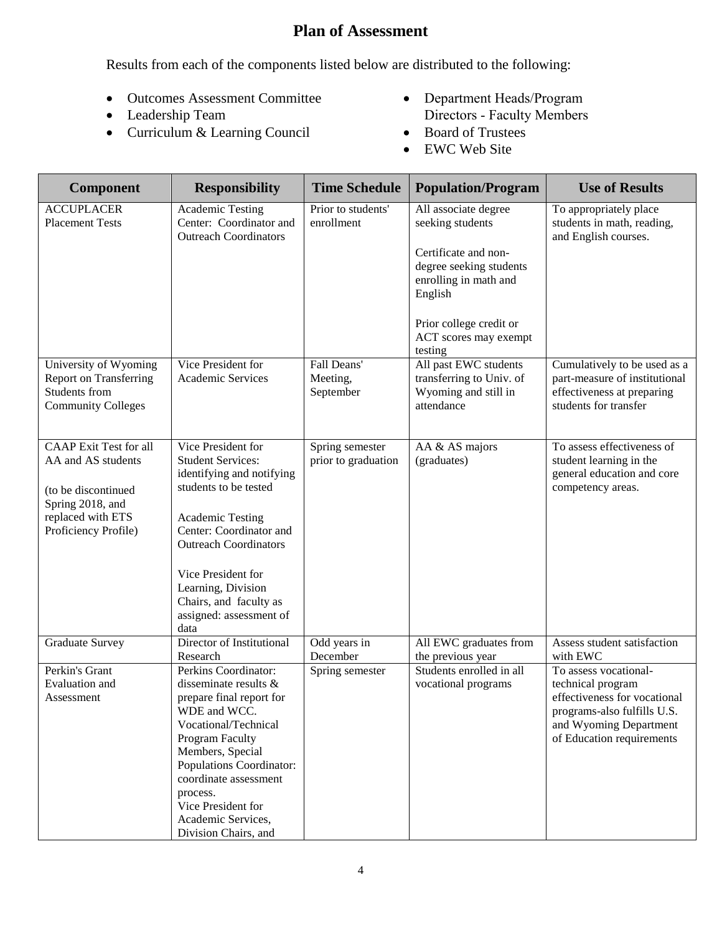## **Plan of Assessment**

Results from each of the components listed below are distributed to the following:

- Outcomes Assessment Committee
- Leadership Team
- Curriculum & Learning Council
- Department Heads/Program Directors - Faculty Members
- Board of Trustees
- EWC Web Site

| <b>Component</b>                                                                                                                            | <b>Responsibility</b>                                                                                                                                                                                                                                                                               | <b>Time Schedule</b>                   | <b>Population/Program</b>                                                                                                                                                                      | <b>Use of Results</b>                                                                                                                                            |
|---------------------------------------------------------------------------------------------------------------------------------------------|-----------------------------------------------------------------------------------------------------------------------------------------------------------------------------------------------------------------------------------------------------------------------------------------------------|----------------------------------------|------------------------------------------------------------------------------------------------------------------------------------------------------------------------------------------------|------------------------------------------------------------------------------------------------------------------------------------------------------------------|
| <b>ACCUPLACER</b><br><b>Placement Tests</b>                                                                                                 | Academic Testing<br>Center: Coordinator and<br><b>Outreach Coordinators</b>                                                                                                                                                                                                                         | Prior to students'<br>enrollment       | All associate degree<br>seeking students<br>Certificate and non-<br>degree seeking students<br>enrolling in math and<br>English<br>Prior college credit or<br>ACT scores may exempt<br>testing | To appropriately place<br>students in math, reading,<br>and English courses.                                                                                     |
| University of Wyoming<br><b>Report on Transferring</b><br>Students from<br><b>Community Colleges</b>                                        | Vice President for<br>Academic Services                                                                                                                                                                                                                                                             | Fall Deans'<br>Meeting,<br>September   | All past EWC students<br>transferring to Univ. of<br>Wyoming and still in<br>attendance                                                                                                        | Cumulatively to be used as a<br>part-measure of institutional<br>effectiveness at preparing<br>students for transfer                                             |
| <b>CAAP</b> Exit Test for all<br>AA and AS students<br>(to be discontinued<br>Spring 2018, and<br>replaced with ETS<br>Proficiency Profile) | Vice President for<br><b>Student Services:</b><br>identifying and notifying<br>students to be tested<br><b>Academic Testing</b><br>Center: Coordinator and<br><b>Outreach Coordinators</b><br>Vice President for<br>Learning, Division<br>Chairs, and faculty as<br>assigned: assessment of<br>data | Spring semester<br>prior to graduation | AA & AS majors<br>(graduates)                                                                                                                                                                  | To assess effectiveness of<br>student learning in the<br>general education and core<br>competency areas.                                                         |
| Graduate Survey                                                                                                                             | Director of Institutional<br>Research                                                                                                                                                                                                                                                               | Odd years in<br>December               | All EWC graduates from<br>the previous year                                                                                                                                                    | Assess student satisfaction<br>with EWC                                                                                                                          |
| Perkin's Grant<br>Evaluation and<br>Assessment                                                                                              | Perkins Coordinator:<br>disseminate results &<br>prepare final report for<br>WDE and WCC.<br>Vocational/Technical<br>Program Faculty<br>Members, Special<br>Populations Coordinator:<br>coordinate assessment<br>process.<br>Vice President for<br>Academic Services,<br>Division Chairs, and       | Spring semester                        | Students enrolled in all<br>vocational programs                                                                                                                                                | To assess vocational-<br>technical program<br>effectiveness for vocational<br>programs-also fulfills U.S.<br>and Wyoming Department<br>of Education requirements |